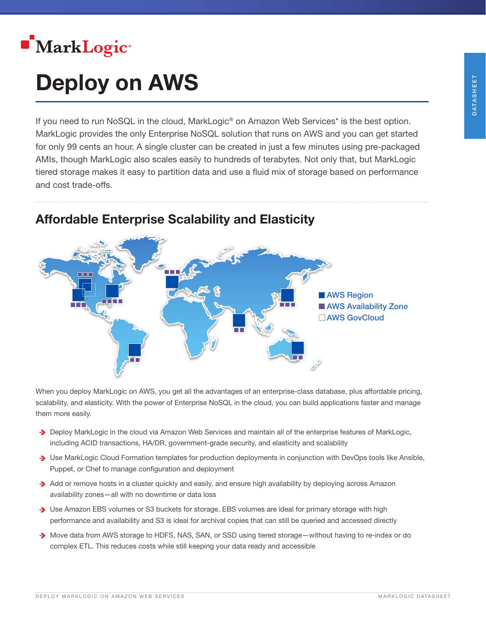

# Deploy on AWS

If you need to run NoSQL in the cloud, MarkLogic<sup>®</sup> on Amazon Web Services<sup>\*</sup> is the best option. MarkLogic provides the only Enterprise NoSQL solution that runs on AWS and you can get started for only 99 cents an hour. A single cluster can be created in just a few minutes using pre-packaged AMIs, though MarkLogic also scales easily to hundreds of terabytes. Not only that, but MarkLogic tiered storage makes it easy to partition data and use a fluid mix of storage based on performance and cost trade-offs.



### Affordable Enterprise Scalability and Elasticity

When you deploy MarkLogic on AWS, you get all the advantages of an enterprise-class database, plus affordable pricing, scalability, and elasticity. With the power of Enterprise NoSQL in the cloud, you can build applications faster and manage them more easily.

- Deploy MarkLogic in the cloud via Amazon Web Services and maintain all of the enterprise features of MarkLogic, including ACID transactions, HA/DR, government-grade security, and elasticity and scalability
- Use MarkLogic Cloud Formation templates for production deployments in conjunction with DevOps tools like Ansible, Puppet, or Chef to manage configuration and deployment
- $\cdot$  Add or remove hosts in a cluster quickly and easily, and ensure high availability by deploying across Amazon availability zones—all with no downtime or data loss
- Use Amazon EBS volumes or S3 buckets for storage. EBS volumes are ideal for primary storage with high performance and availability and S3 is ideal for archival copies that can still be queried and accessed directly
- Move data from AWS storage to HDFS, NAS, SAN, or SSD using tiered storage—without having to re-index or do complex ETL. This reduces costs while still keeping your data ready and accessible